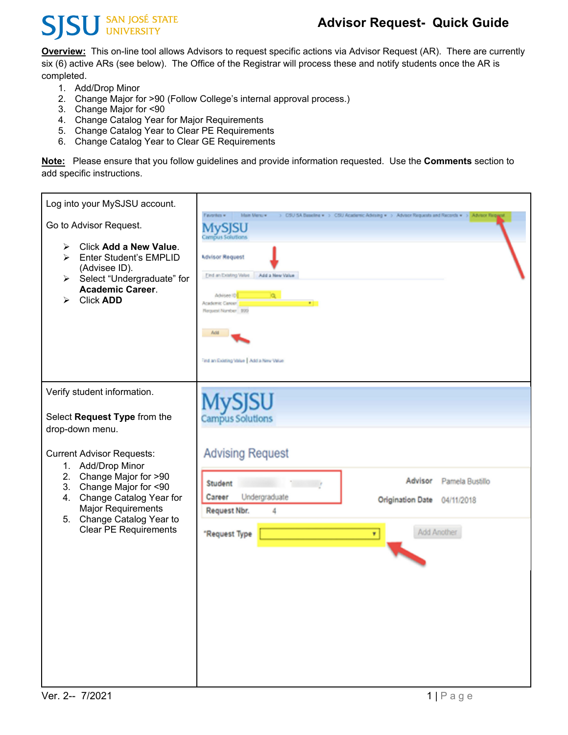### **SU** SAN JOSÉ STATE S

### **Advisor Request- Quick Guide**

**Overview:** This on-line tool allows Advisors to request specific actions via Advisor Request (AR). There are currently six (6) active ARs (see below). The Office of the Registrar will process these and notify students once the AR is completed.

- 1. Add/Drop Minor
- 2. Change Major for >90 (Follow College's internal approval process.)
- 3. Change Major for <90
- 4. Change Catalog Year for Major Requirements
- 5. Change Catalog Year to Clear PE Requirements
- 6. Change Catalog Year to Clear GE Requirements

**Note:** Please ensure that you follow guidelines and provide information requested. Use the **Comments** section to add specific instructions.

| Log into your MySJSU account.<br>Go to Advisor Request.<br>Click Add a New Value.<br>➤<br><b>Enter Student's EMPLID</b><br>➤<br>(Advisee ID).<br>Select "Undergraduate" for<br>$\triangleright$<br><b>Academic Career.</b><br><b>Click ADD</b><br>≻                                                                               | Favorites »<br><b>Main Mersuw</b><br><b>Campus Solutions</b><br><b>Mavisor Request</b><br>Find an Existing Value Add a New Value<br>Advisee ID<br>Academic Career<br>.,<br>Request Number 999<br>Acid<br>Find an Existing Value   Add a New Value | > CSU SA Baseline . > CSU Academic Advising . > Advisor Requests and Records . > Advisor Repared |
|-----------------------------------------------------------------------------------------------------------------------------------------------------------------------------------------------------------------------------------------------------------------------------------------------------------------------------------|---------------------------------------------------------------------------------------------------------------------------------------------------------------------------------------------------------------------------------------------------|--------------------------------------------------------------------------------------------------|
| Verify student information.<br>Select Request Type from the<br>drop-down menu.<br><b>Current Advisor Requests:</b><br>1. Add/Drop Minor<br>2.<br>Change Major for >90<br>3.<br>Change Major for <90<br>Change Catalog Year for<br>4.<br><b>Major Requirements</b><br>Change Catalog Year to<br>5.<br><b>Clear PE Requirements</b> | <b>Campus Solutions</b><br><b>Advising Request</b><br>Student<br>Undergraduate<br>Career<br>Request Nbr.<br>4<br>"Request Type                                                                                                                    | Advisor<br>Pamela Bustillo<br><b>Origination Date</b><br>04/11/2018<br>Add Another<br>۷          |
|                                                                                                                                                                                                                                                                                                                                   |                                                                                                                                                                                                                                                   |                                                                                                  |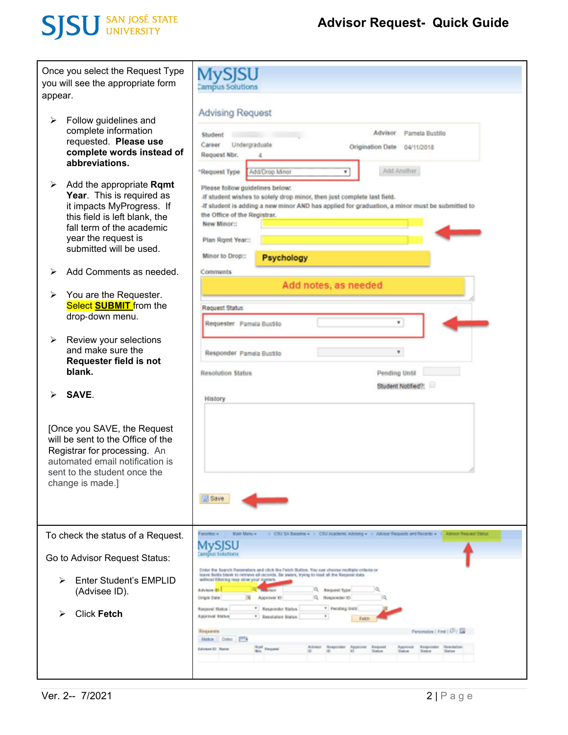# **SJSU** SAN JOSÉ STATE

| Once you select the Request Type<br>you will see the appropriate form<br>appear. |                                                                                                                                                                                                    | <b>Campus Solutions</b>                                                                                                                                                                                                                                                                                                                                                                      |
|----------------------------------------------------------------------------------|----------------------------------------------------------------------------------------------------------------------------------------------------------------------------------------------------|----------------------------------------------------------------------------------------------------------------------------------------------------------------------------------------------------------------------------------------------------------------------------------------------------------------------------------------------------------------------------------------------|
| ➤                                                                                | Follow guidelines and<br>complete information<br>requested. Please use<br>complete words instead of<br>abbreviations.                                                                              | <b>Advising Request</b><br>Advisor<br>Parnela Bustillo<br>Student<br>Undergraduate<br>Career<br>Origination Date<br>04/11/2018<br>Request Nbr.<br>Δ<br>Add Another<br>Add/Drop Minor<br>"Request Type<br>٠                                                                                                                                                                                   |
| ➤                                                                                | Add the appropriate Rqmt<br>Year. This is required as<br>it impacts MyProgress. If<br>this field is left blank, the<br>fall term of the academic<br>year the request is<br>submitted will be used. | Please follow guidelines below:<br>If student wishes to solely drop minor, then just complete last field.<br>-If student is adding a new minor AND has applied for graduation, a minor must be submitted to<br>the Office of the Registrar.<br><b>New Minor::</b><br>Plan Rgmt Year::<br>Minor to Drop::<br>Psychology                                                                       |
| ≻                                                                                | Add Comments as needed.                                                                                                                                                                            | Comments                                                                                                                                                                                                                                                                                                                                                                                     |
| ➤<br>➤                                                                           | You are the Requester.<br>Select <b>SUBMIT</b> from the<br>drop-down menu.<br>Review your selections                                                                                               | Add notes, as needed<br>Request Status<br>٠<br>Requester Pamola Bustillo                                                                                                                                                                                                                                                                                                                     |
|                                                                                  | and make sure the<br>Requester field is not<br>blank.                                                                                                                                              | $\blacksquare$<br>Responder Pamela Bustillo<br><b>Contract Contract</b><br>Pending Until<br><b>Resolution Status</b><br>Student Notified?:                                                                                                                                                                                                                                                   |
| ⋗                                                                                | SAVE.<br>[Once you SAVE, the Request<br>will be sent to the Office of the<br>Registrar for processing. An<br>automated email notification is<br>sent to the student once the<br>change is made.]   | History<br><b>Save</b>                                                                                                                                                                                                                                                                                                                                                                       |
|                                                                                  | To check the status of a Request.                                                                                                                                                                  | > CSU SA Baseline > > CSU Academic Advising > > Advisor Requests and Records > ><br>f goorden<br><b>Main Money</b><br>Advisor Request Status                                                                                                                                                                                                                                                 |
|                                                                                  | Go to Advisor Request Status:                                                                                                                                                                      | ampos Solutions                                                                                                                                                                                                                                                                                                                                                                              |
| ⋗<br>⋗                                                                           | Enter Student's EMPLID<br>(Advisee ID).<br><b>Click Fetch</b>                                                                                                                                      | Enter the Search Parameters and click the Fetch Button. You can choose multiple criteria or<br>leave fields blank to retrieve all records. De aware, trying to load all the Request data<br>without fibering may slow your egeters.<br>Q Request Type<br>Advises D<br>Q Nesponder ID<br><b>Origin Date</b><br>Approver 13<br>* Pending Until<br>* Responder Steles<br><b>Received Status</b> |
|                                                                                  |                                                                                                                                                                                                    | <b>Approval Status</b><br>* Resolution Status<br>Personalize   Find   (33) La<br>Requests<br>Status Color P <sup>revi</sup> s<br><b>BOAT</b> Flexpand<br>Faquest<br><b><i>Relaciónio</i></b><br><b>Advises El Natio</b>                                                                                                                                                                      |